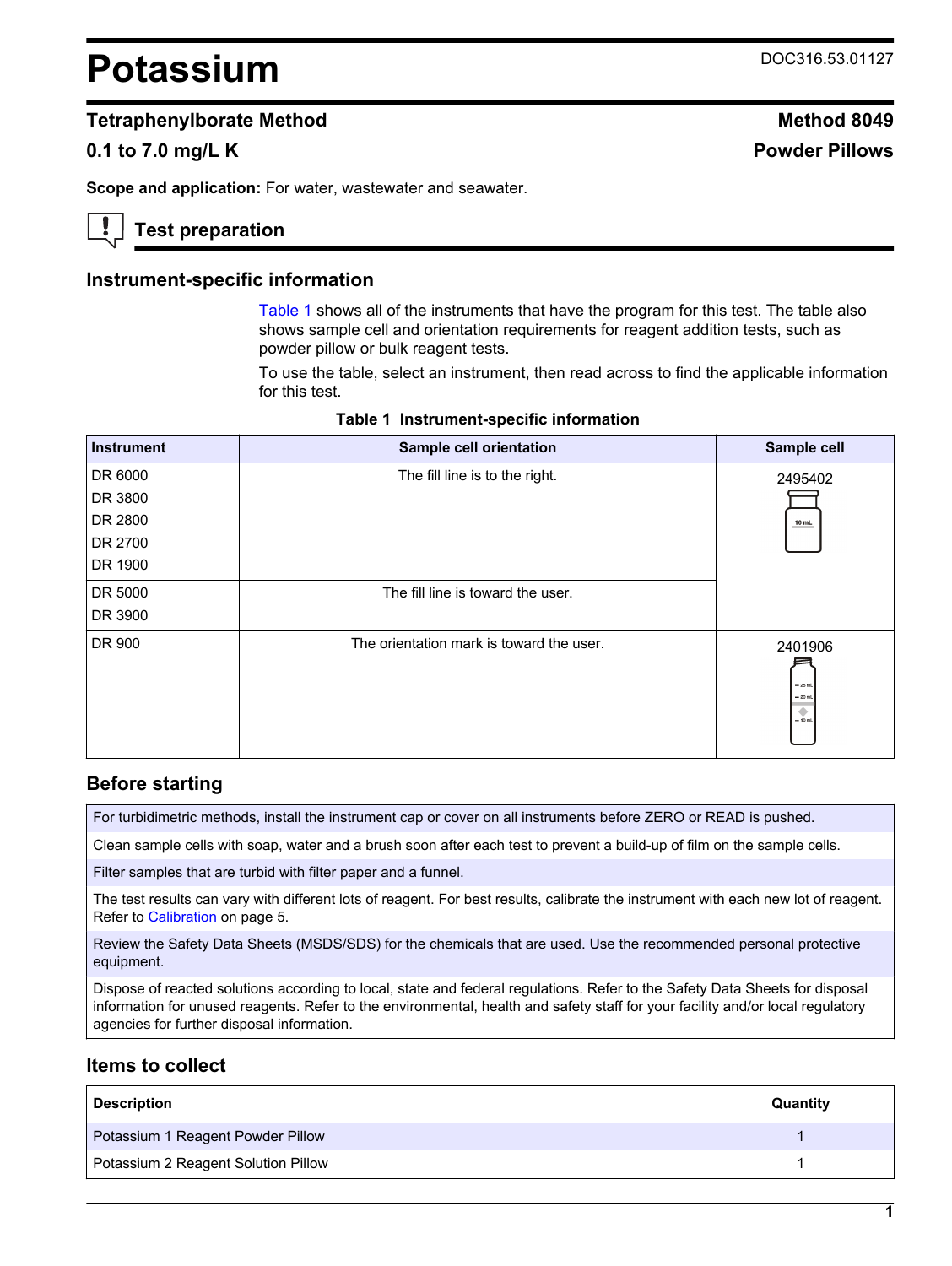# <span id="page-0-0"></span>**Potassium** DOC316.53.01127

## **Tetraphenylborate Method Method 8049**

## **0.1 to 7.0 mg/L K Powder Pillows**

**Scope and application:** For water, wastewater and seawater.

## **Test preparation**

#### **Instrument-specific information**

Table 1 shows all of the instruments that have the program for this test. The table also shows sample cell and orientation requirements for reagent addition tests, such as powder pillow or bulk reagent tests.

To use the table, select an instrument, then read across to find the applicable information for this test.

| <b>Instrument</b> | Sample cell orientation                  | Sample cell                                  |
|-------------------|------------------------------------------|----------------------------------------------|
| DR 6000           | The fill line is to the right.           | 2495402                                      |
| DR 3800           |                                          |                                              |
| DR 2800           |                                          | $10$ mL                                      |
| DR 2700           |                                          |                                              |
| DR 1900           |                                          |                                              |
| DR 5000           | The fill line is toward the user.        |                                              |
| DR 3900           |                                          |                                              |
| DR 900            | The orientation mark is toward the user. | 2401906<br>$-25$ mL<br>$= 20$ mL<br>$-10$ mL |

#### **Table 1 Instrument-specific information**

## **Before starting**

For turbidimetric methods, install the instrument cap or cover on all instruments before ZERO or READ is pushed.

Clean sample cells with soap, water and a brush soon after each test to prevent a build-up of film on the sample cells.

Filter samples that are turbid with filter paper and a funnel.

The test results can vary with different lots of reagent. For best results, calibrate the instrument with each new lot of reagent. Refer to [Calibration](#page-4-0) on page 5.

Review the Safety Data Sheets (MSDS/SDS) for the chemicals that are used. Use the recommended personal protective equipment.

Dispose of reacted solutions according to local, state and federal regulations. Refer to the Safety Data Sheets for disposal information for unused reagents. Refer to the environmental, health and safety staff for your facility and/or local regulatory agencies for further disposal information.

## **Items to collect**

| <b>Description</b>                  | Quantity |
|-------------------------------------|----------|
| Potassium 1 Reagent Powder Pillow   |          |
| Potassium 2 Reagent Solution Pillow |          |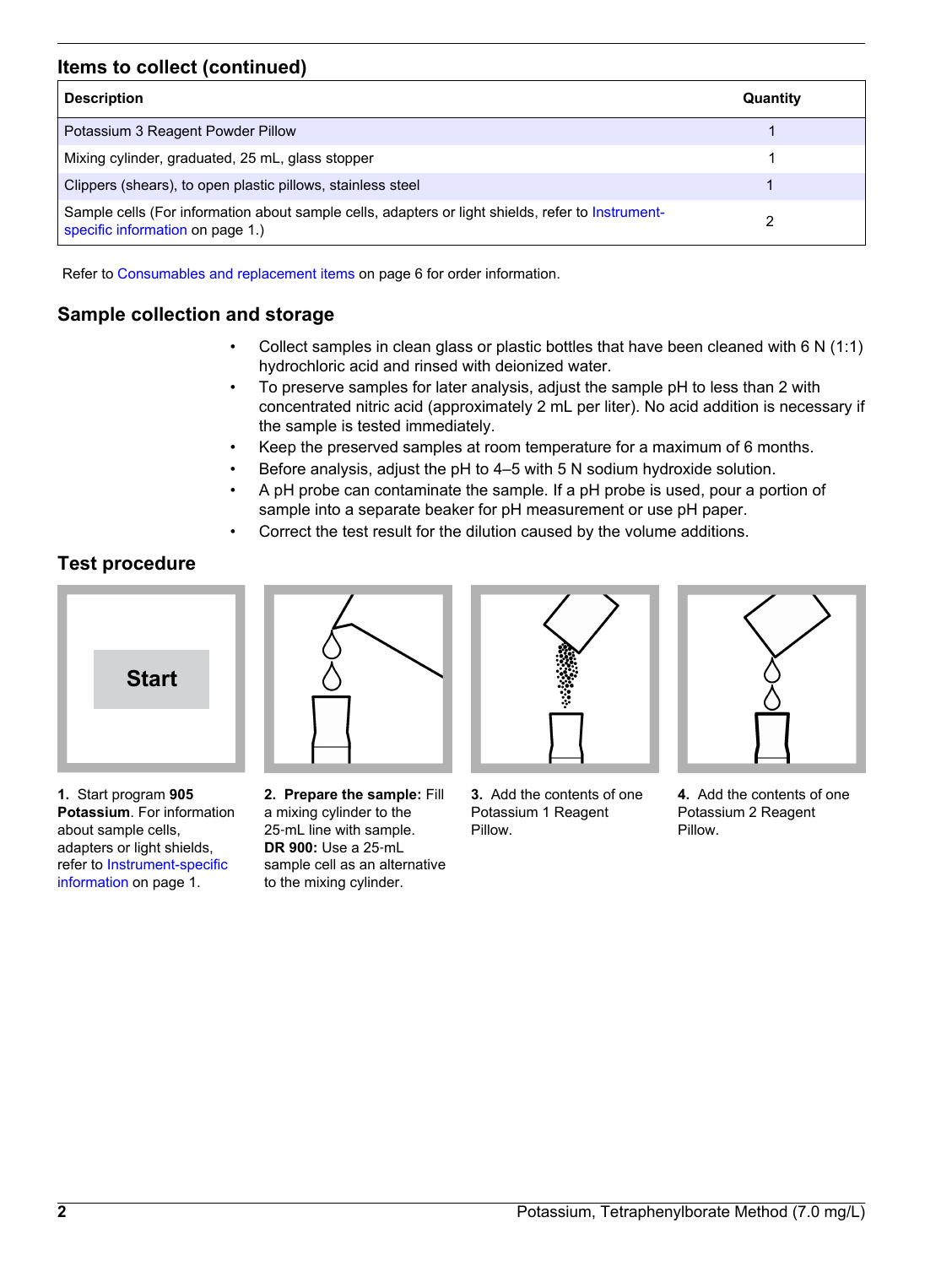## **Items to collect (continued)**

| <b>Description</b>                                                                                                                    | Quantity |
|---------------------------------------------------------------------------------------------------------------------------------------|----------|
| Potassium 3 Reagent Powder Pillow                                                                                                     |          |
| Mixing cylinder, graduated, 25 mL, glass stopper                                                                                      |          |
| Clippers (shears), to open plastic pillows, stainless steel                                                                           |          |
| Sample cells (For information about sample cells, adapters or light shields, refer to Instrument-<br>specific information on page 1.) | າ        |

Refer to [Consumables and replacement items](#page-5-0) on page 6 for order information.

# **Sample collection and storage**

- Collect samples in clean glass or plastic bottles that have been cleaned with 6 N (1:1) hydrochloric acid and rinsed with deionized water.
- To preserve samples for later analysis, adjust the sample pH to less than 2 with concentrated nitric acid (approximately 2 mL per liter). No acid addition is necessary if the sample is tested immediately.
- Keep the preserved samples at room temperature for a maximum of 6 months.
- Before analysis, adjust the pH to 4–5 with 5 N sodium hydroxide solution.
- A pH probe can contaminate the sample. If a pH probe is used, pour a portion of sample into a separate beaker for pH measurement or use pH paper.
- Correct the test result for the dilution caused by the volume additions.

# **Test procedure**



**1.** Start program **905 Potassium**. For information about sample cells, adapters or light shields, refer to [Instrument-specific](#page-0-0) [information](#page-0-0) on page 1.



**2. Prepare the sample:** Fill a mixing cylinder to the 25‑mL line with sample. **DR 900:** Use a 25‑mL sample cell as an alternative to the mixing cylinder.



**3.** Add the contents of one Potassium 1 Reagent Pillow.



**4.** Add the contents of one Potassium 2 Reagent Pillow.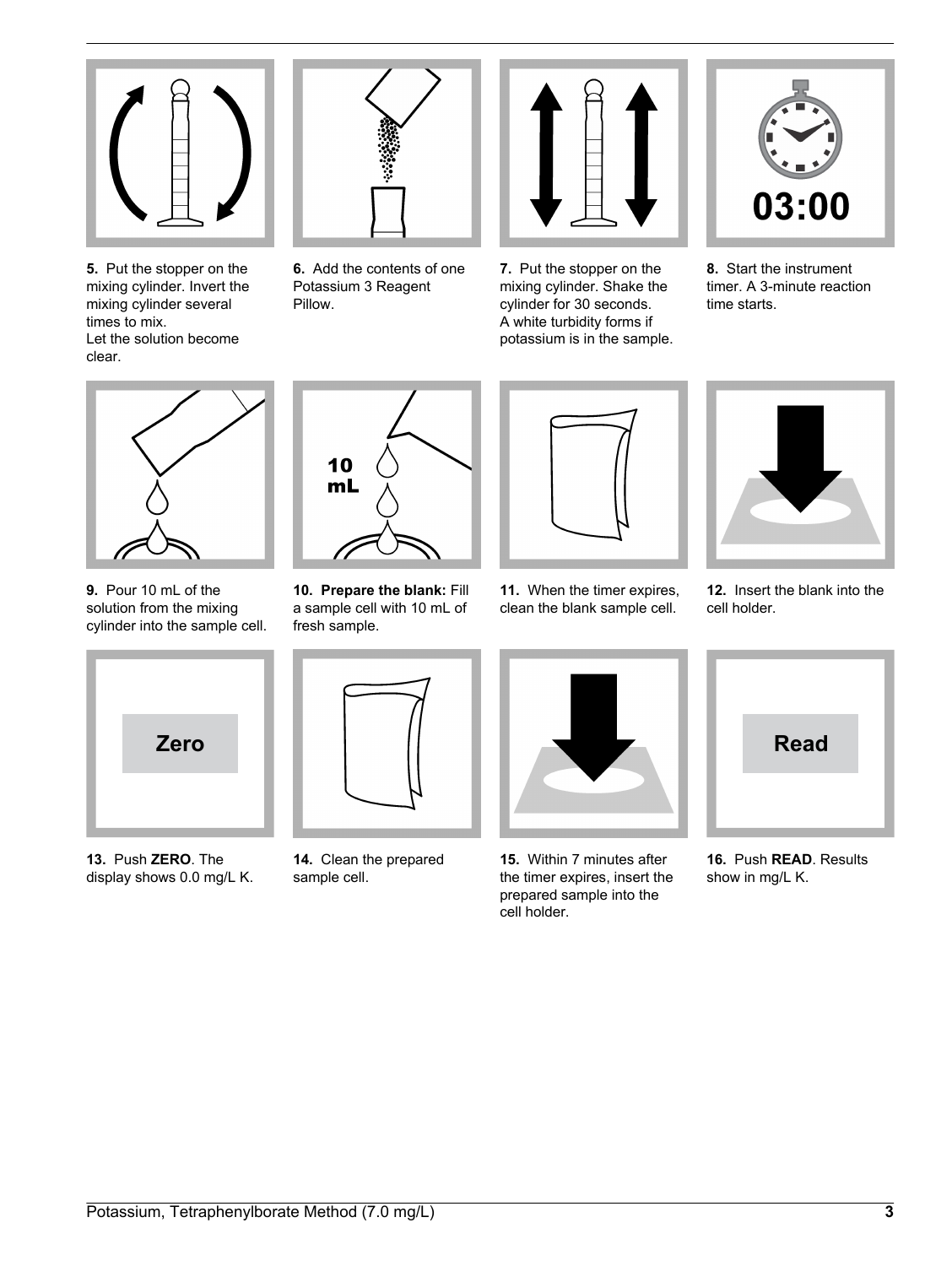

**5.** Put the stopper on the mixing cylinder. Invert the mixing cylinder several times to mix. Let the solution become clear.



**6.** Add the contents of one Potassium 3 Reagent Pillow.



**7.** Put the stopper on the mixing cylinder. Shake the cylinder for 30 seconds. A white turbidity forms if potassium is in the sample.



**8.** Start the instrument timer. A 3-minute reaction time starts.



**9.** Pour 10 mL of the solution from the mixing cylinder into the sample cell.



**13.** Push **ZERO**. The display shows 0.0 mg/L K.



**10. Prepare the blank:** Fill

10  $m<sub>L</sub>$ 

**14.** Clean the prepared sample cell.



**11.** When the timer expires, clean the blank sample cell.



**15.** Within 7 minutes after the timer expires, insert the prepared sample into the cell holder.



**12.** Insert the blank into the cell holder.



**16.** Push **READ**. Results show in mg/L K.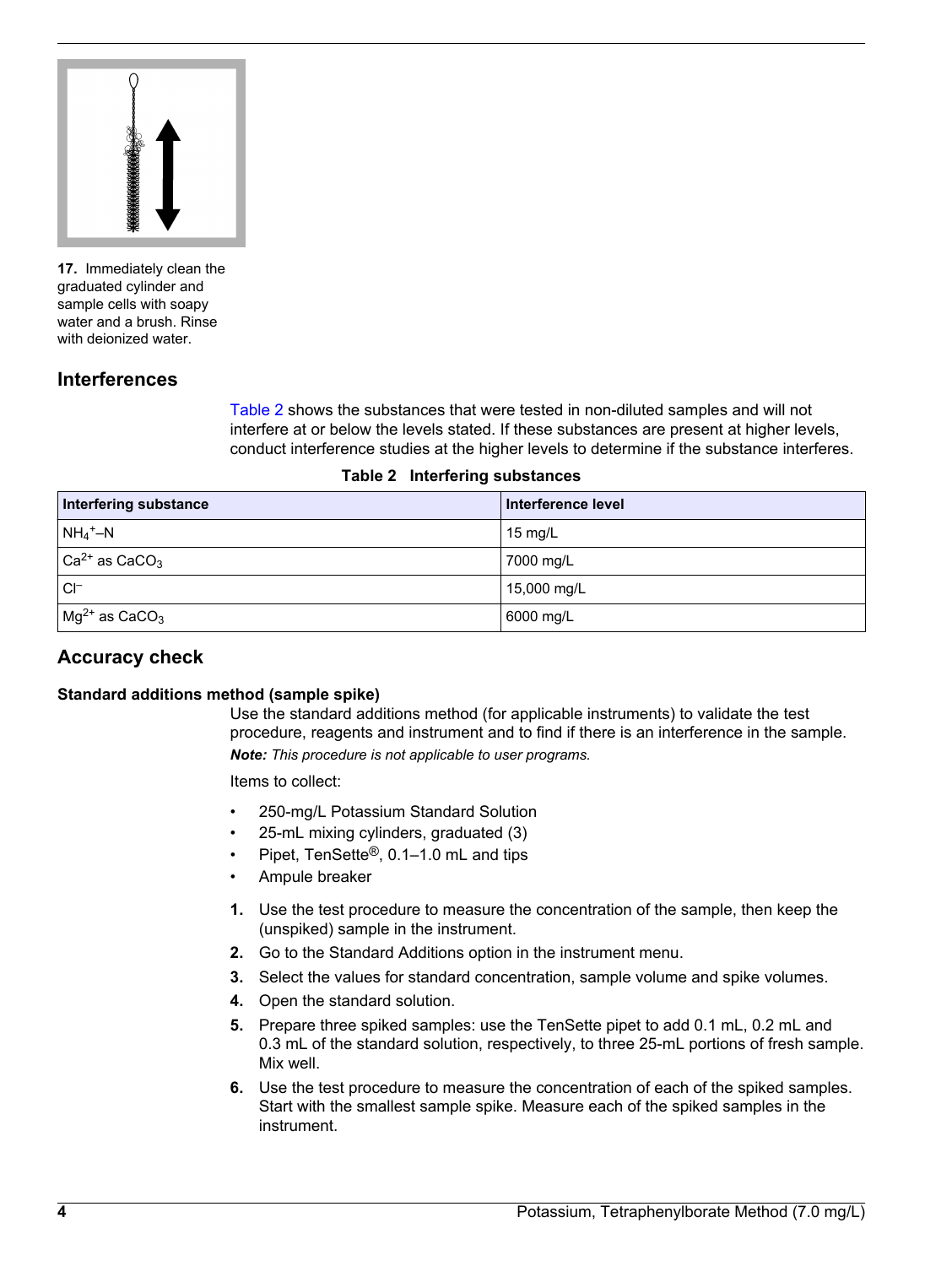

**17.** Immediately clean the graduated cylinder and sample cells with soapy water and a brush. Rinse with deionized water.

## **Interferences**

Table 2 shows the substances that were tested in non-diluted samples and will not interfere at or below the levels stated. If these substances are present at higher levels, conduct interference studies at the higher levels to determine if the substance interferes.

|  |  | Table 2 Interfering substances |
|--|--|--------------------------------|
|--|--|--------------------------------|

| <b>Interfering substance</b>     | Interference level |
|----------------------------------|--------------------|
| $NH_4^+$ –N                      | $15 \text{ mq/L}$  |
| $ Ca2+$ as CaCO <sub>3</sub>     | 7000 mg/L          |
| $Cl^-$                           | 15,000 mg/L        |
| $\log^{2+}$ as CaCO <sub>3</sub> | 6000 mg/L          |

## **Accuracy check**

#### **Standard additions method (sample spike)**

Use the standard additions method (for applicable instruments) to validate the test procedure, reagents and instrument and to find if there is an interference in the sample. *Note: This procedure is not applicable to user programs.*

Items to collect:

- 250-mg/L Potassium Standard Solution
- 25-mL mixing cylinders, graduated (3)
- Pipet, TenSette®, 0.1–1.0 mL and tips
- Ampule breaker
- **1.** Use the test procedure to measure the concentration of the sample, then keep the (unspiked) sample in the instrument.
- **2.** Go to the Standard Additions option in the instrument menu.
- **3.** Select the values for standard concentration, sample volume and spike volumes.
- **4.** Open the standard solution.
- **5.** Prepare three spiked samples: use the TenSette pipet to add 0.1 mL, 0.2 mL and 0.3 mL of the standard solution, respectively, to three 25-mL portions of fresh sample. Mix well.
- **6.** Use the test procedure to measure the concentration of each of the spiked samples. Start with the smallest sample spike. Measure each of the spiked samples in the instrument.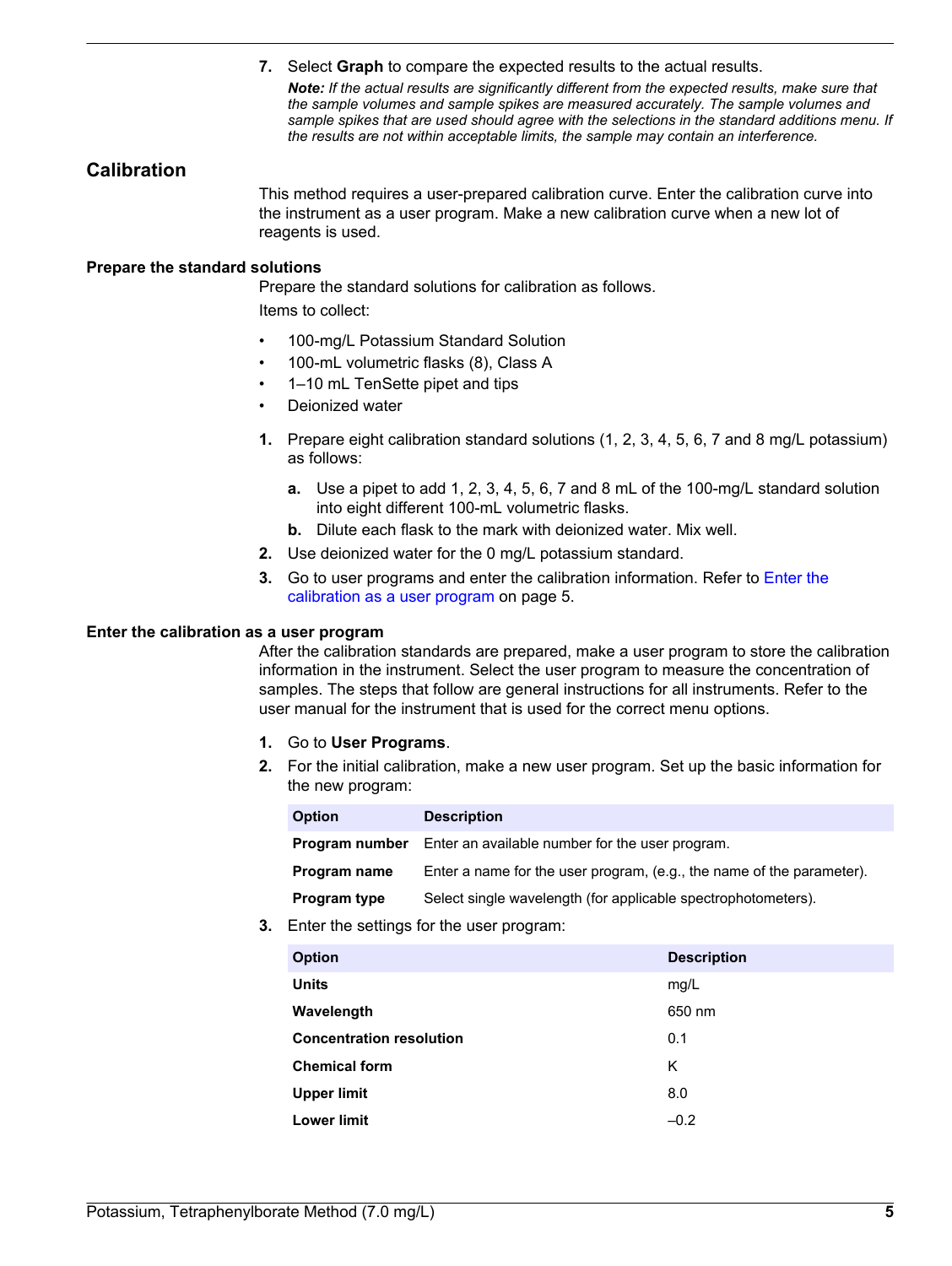**7.** Select **Graph** to compare the expected results to the actual results.

*Note: If the actual results are significantly different from the expected results, make sure that the sample volumes and sample spikes are measured accurately. The sample volumes and sample spikes that are used should agree with the selections in the standard additions menu. If the results are not within acceptable limits, the sample may contain an interference.*

## <span id="page-4-0"></span>**Calibration**

This method requires a user-prepared calibration curve. Enter the calibration curve into the instrument as a user program. Make a new calibration curve when a new lot of reagents is used.

#### **Prepare the standard solutions**

Prepare the standard solutions for calibration as follows.

Items to collect:

- 100-mg/L Potassium Standard Solution
- 100-mL volumetric flasks (8), Class A
- 1–10 mL TenSette pipet and tips
- Deionized water
- **1.** Prepare eight calibration standard solutions (1, 2, 3, 4, 5, 6, 7 and 8 mg/L potassium) as follows:
	- **a.** Use a pipet to add 1, 2, 3, 4, 5, 6, 7 and 8 mL of the 100-mg/L standard solution into eight different 100-mL volumetric flasks.
	- **b.** Dilute each flask to the mark with deionized water. Mix well.
- **2.** Use deionized water for the 0 mg/L potassium standard.
- **3.** Go to user programs and enter the calibration information. Refer to Enter the calibration as a user program on page 5.

#### **Enter the calibration as a user program**

After the calibration standards are prepared, make a user program to store the calibration information in the instrument. Select the user program to measure the concentration of samples. The steps that follow are general instructions for all instruments. Refer to the user manual for the instrument that is used for the correct menu options.

- **1.** Go to **User Programs**.
- **2.** For the initial calibration, make a new user program. Set up the basic information for the new program:

| <b>Option</b>  | <b>Description</b>                                                    |
|----------------|-----------------------------------------------------------------------|
| Program number | Enter an available number for the user program.                       |
| Program name   | Enter a name for the user program, (e.g., the name of the parameter). |
| Program type   | Select single wavelength (for applicable spectrophotometers).         |

**3.** Enter the settings for the user program:

| <b>Option</b>                   | <b>Description</b> |
|---------------------------------|--------------------|
| <b>Units</b>                    | mg/L               |
| Wavelength                      | 650 nm             |
| <b>Concentration resolution</b> | 0.1                |
| <b>Chemical form</b>            | Κ                  |
| <b>Upper limit</b>              | 8.0                |
| <b>Lower limit</b>              | $-0.2$             |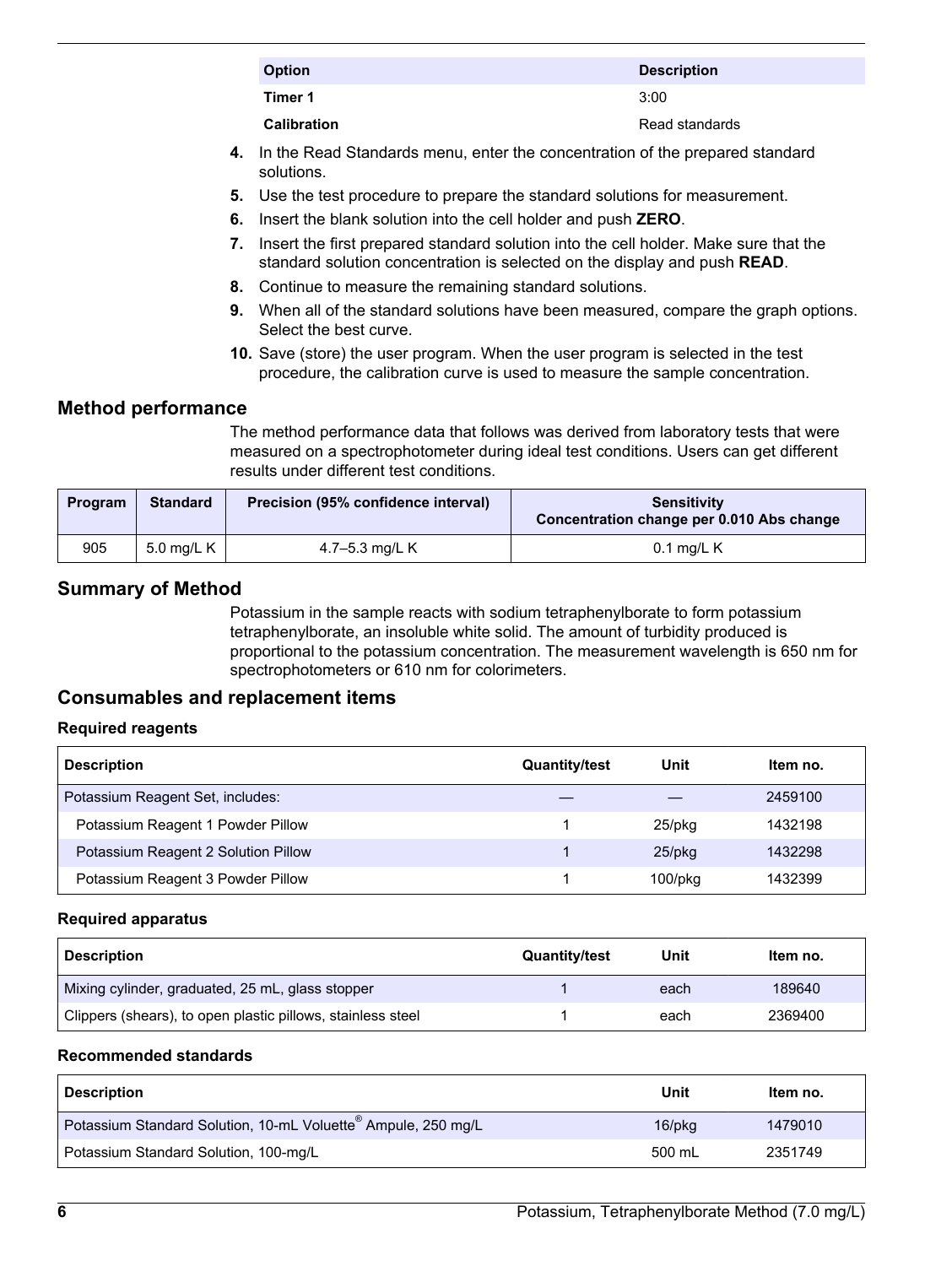<span id="page-5-0"></span>

| <b>Option</b>      | <b>Description</b> |
|--------------------|--------------------|
| Timer 1            | 3:00               |
| <b>Calibration</b> | Read standards     |
|                    |                    |

- **4.** In the Read Standards menu, enter the concentration of the prepared standard solutions.
- **5.** Use the test procedure to prepare the standard solutions for measurement.
- **6.** Insert the blank solution into the cell holder and push **ZERO**.
- **7.** Insert the first prepared standard solution into the cell holder. Make sure that the standard solution concentration is selected on the display and push **READ**.
- **8.** Continue to measure the remaining standard solutions.
- **9.** When all of the standard solutions have been measured, compare the graph options. Select the best curve.
- **10.** Save (store) the user program. When the user program is selected in the test procedure, the calibration curve is used to measure the sample concentration.

## **Method performance**

The method performance data that follows was derived from laboratory tests that were measured on a spectrophotometer during ideal test conditions. Users can get different results under different test conditions.

| Program | <b>Standard</b> | Precision (95% confidence interval) | <b>Sensitivity</b><br>Concentration change per 0.010 Abs change |
|---------|-----------------|-------------------------------------|-----------------------------------------------------------------|
| 905     | 5.0 mg/L $K$    | 4.7–5.3 mg/L K                      | $0.1$ mg/L K                                                    |

## **Summary of Method**

Potassium in the sample reacts with sodium tetraphenylborate to form potassium tetraphenylborate, an insoluble white solid. The amount of turbidity produced is proportional to the potassium concentration. The measurement wavelength is 650 nm for spectrophotometers or 610 nm for colorimeters.

## **Consumables and replacement items**

#### **Required reagents**

| <b>Description</b>                  | <b>Quantity/test</b> | Unit          | Item no. |
|-------------------------------------|----------------------|---------------|----------|
| Potassium Reagent Set, includes:    |                      |               | 2459100  |
| Potassium Reagent 1 Powder Pillow   |                      | 25/pkg        | 1432198  |
| Potassium Reagent 2 Solution Pillow |                      | $25$ /pkq     | 1432298  |
| Potassium Reagent 3 Powder Pillow   |                      | $100$ /p $ka$ | 1432399  |

#### **Required apparatus**

| <b>Description</b>                                          | <b>Quantity/test</b> | Unit | Item no. |
|-------------------------------------------------------------|----------------------|------|----------|
| Mixing cylinder, graduated, 25 mL, glass stopper            |                      | each | 189640   |
| Clippers (shears), to open plastic pillows, stainless steel |                      | each | 2369400  |

#### **Recommended standards**

| <b>Description</b>                                                        | Unit   | Item no. |
|---------------------------------------------------------------------------|--------|----------|
| Potassium Standard Solution, 10-mL Voluette <sup>®</sup> Ampule, 250 mg/L | 16/pkg | 1479010  |
| Potassium Standard Solution, 100-mg/L                                     | 500 mL | 2351749  |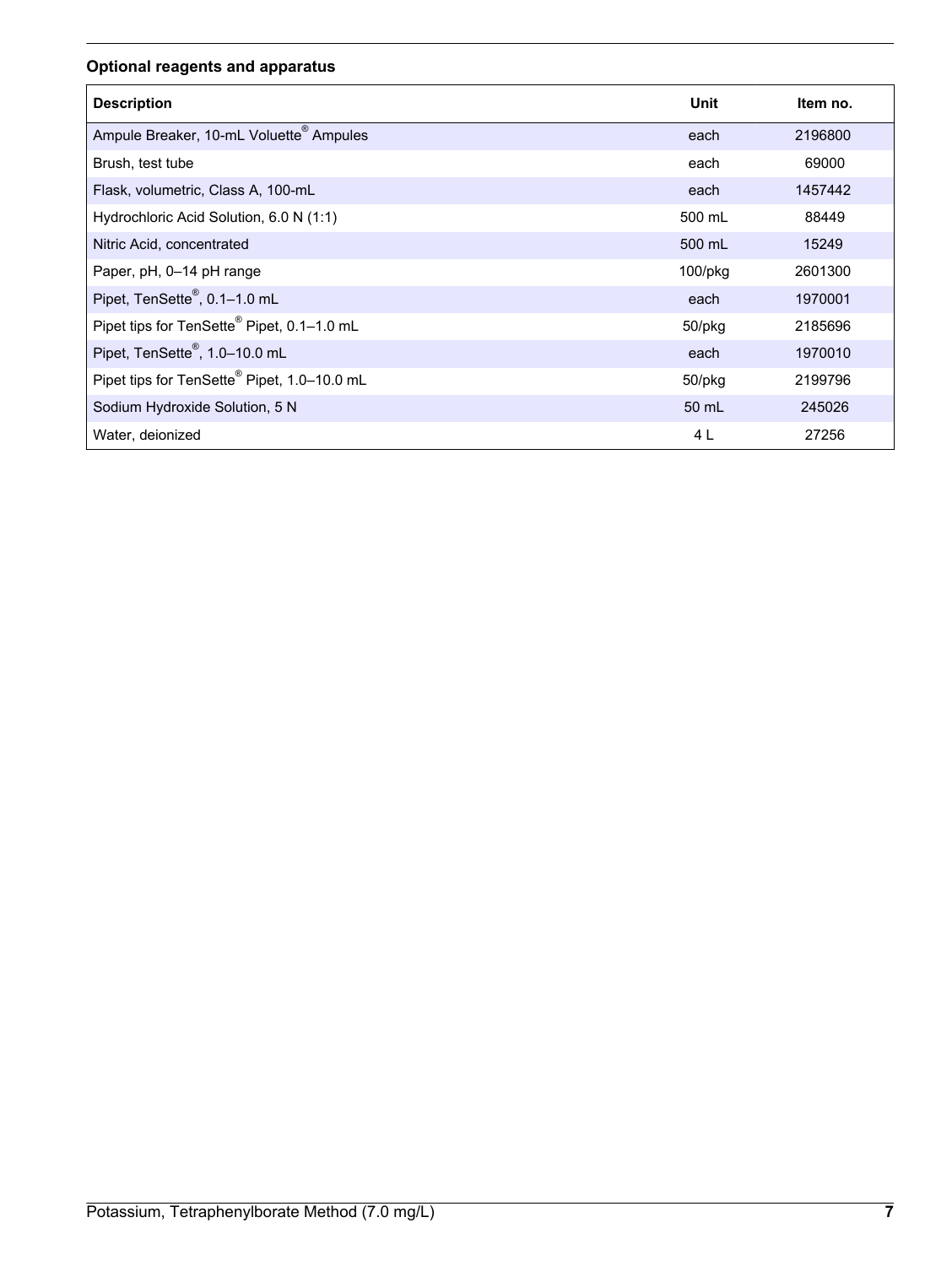## **Optional reagents and apparatus**

| <b>Description</b>                                      | Unit          | Item no. |
|---------------------------------------------------------|---------------|----------|
| Ampule Breaker, 10-mL Voluette <sup>®</sup> Ampules     | each          | 2196800  |
| Brush, test tube                                        | each          | 69000    |
| Flask, volumetric, Class A, 100-mL                      | each          | 1457442  |
| Hydrochloric Acid Solution, 6.0 N (1:1)                 | 500 mL        | 88449    |
| Nitric Acid, concentrated                               | 500 mL        | 15249    |
| Paper, pH, 0-14 pH range                                | $100$ /p $kg$ | 2601300  |
| Pipet, TenSette®, 0.1-1.0 mL                            | each          | 1970001  |
| Pipet tips for TenSette <sup>®</sup> Pipet, 0.1-1.0 mL  | 50/pkg        | 2185696  |
| Pipet, TenSette®, 1.0-10.0 mL                           | each          | 1970010  |
| Pipet tips for TenSette <sup>®</sup> Pipet, 1.0-10.0 mL | 50/pkg        | 2199796  |
| Sodium Hydroxide Solution, 5 N                          | 50 mL         | 245026   |
| Water, deionized                                        | 4 L           | 27256    |